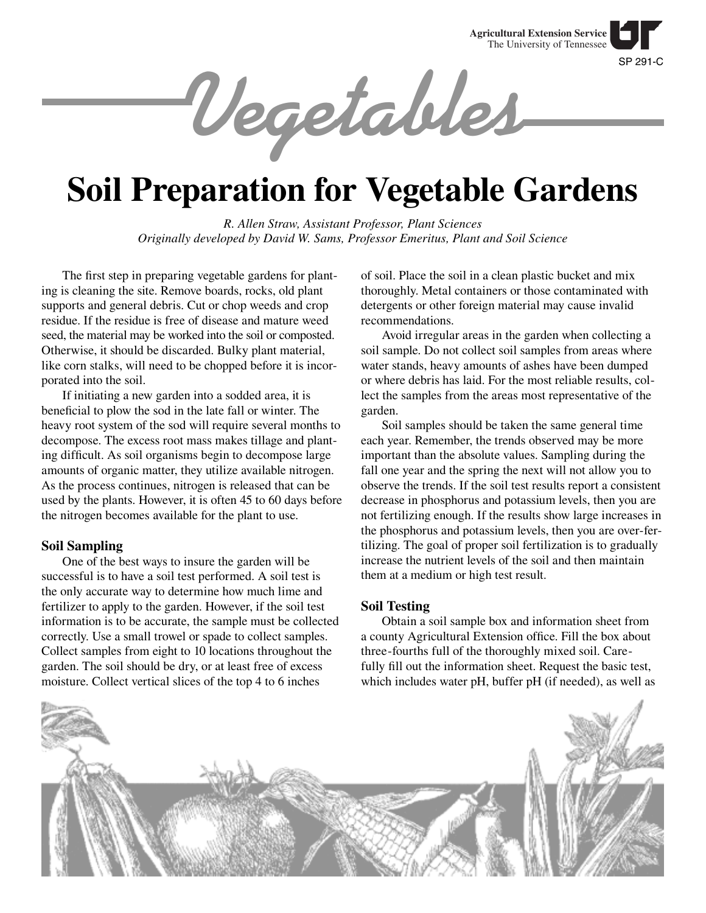SP 291-C **Agricultural Extension Service** The University of Tennessee

**Vegetables**

# **Soil Preparation for Vegetable Gardens**

*R. Allen Straw, Assistant Professor, Plant Sciences Originally developed by David W. Sams, Professor Emeritus, Plant and Soil Science*

The first step in preparing vegetable gardens for planting is cleaning the site. Remove boards, rocks, old plant supports and general debris. Cut or chop weeds and crop residue. If the residue is free of disease and mature weed seed, the material may be worked into the soil or composted. Otherwise, it should be discarded. Bulky plant material, like corn stalks, will need to be chopped before it is incorporated into the soil.

If initiating a new garden into a sodded area, it is beneficial to plow the sod in the late fall or winter. The heavy root system of the sod will require several months to decompose. The excess root mass makes tillage and planting difficult. As soil organisms begin to decompose large amounts of organic matter, they utilize available nitrogen. As the process continues, nitrogen is released that can be used by the plants. However, it is often 45 to 60 days before the nitrogen becomes available for the plant to use.

# **Soil Sampling**

One of the best ways to insure the garden will be successful is to have a soil test performed. A soil test is the only accurate way to determine how much lime and fertilizer to apply to the garden. However, if the soil test information is to be accurate, the sample must be collected correctly. Use a small trowel or spade to collect samples. Collect samples from eight to 10 locations throughout the garden. The soil should be dry, or at least free of excess moisture. Collect vertical slices of the top 4 to 6 inches

of soil. Place the soil in a clean plastic bucket and mix thoroughly. Metal containers or those contaminated with detergents or other foreign material may cause invalid recommendations.

Avoid irregular areas in the garden when collecting a soil sample. Do not collect soil samples from areas where water stands, heavy amounts of ashes have been dumped or where debris has laid. For the most reliable results, collect the samples from the areas most representative of the garden.

Soil samples should be taken the same general time each year. Remember, the trends observed may be more important than the absolute values. Sampling during the fall one year and the spring the next will not allow you to observe the trends. If the soil test results report a consistent decrease in phosphorus and potassium levels, then you are not fertilizing enough. If the results show large increases in the phosphorus and potassium levels, then you are over-fertilizing. The goal of proper soil fertilization is to gradually increase the nutrient levels of the soil and then maintain them at a medium or high test result.

#### **Soil Testing**

Obtain a soil sample box and information sheet from a county Agricultural Extension office. Fill the box about three-fourths full of the thoroughly mixed soil. Carefully fill out the information sheet. Request the basic test, which includes water pH, buffer pH (if needed), as well as